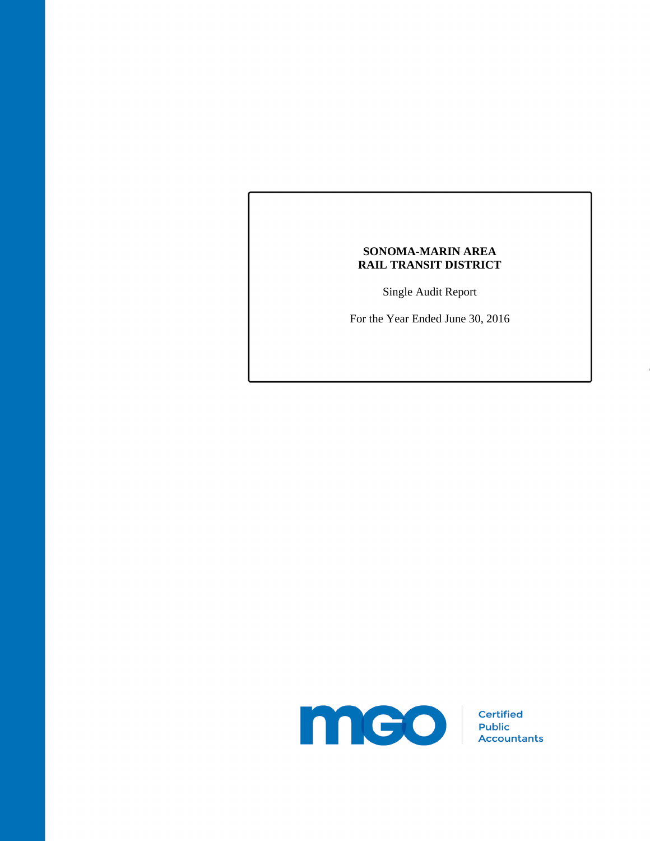Single Audit Report

For the Year Ended June 30, 2016

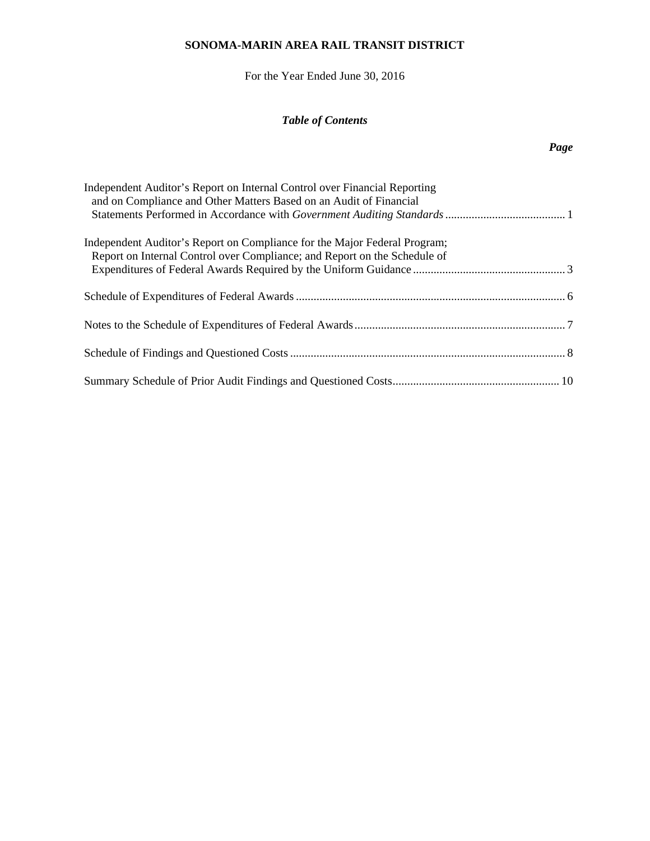For the Year Ended June 30, 2016

# *Table of Contents*

# *Page*

| Independent Auditor's Report on Internal Control over Financial Reporting<br>and on Compliance and Other Matters Based on an Audit of Financial        |  |
|--------------------------------------------------------------------------------------------------------------------------------------------------------|--|
| Independent Auditor's Report on Compliance for the Major Federal Program;<br>Report on Internal Control over Compliance; and Report on the Schedule of |  |
|                                                                                                                                                        |  |
|                                                                                                                                                        |  |
|                                                                                                                                                        |  |
|                                                                                                                                                        |  |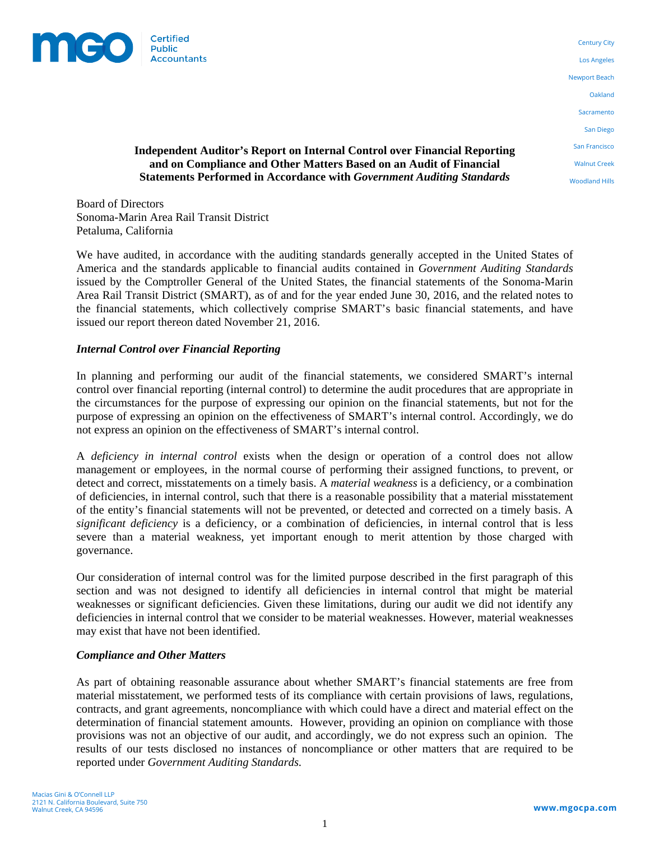

Century City Los Angeles Newport Beach Oakland **Sacramento** San Diego San Francisco Walnut Creek Woodland Hills

### **Independent Auditor's Report on Internal Control over Financial Reporting and on Compliance and Other Matters Based on an Audit of Financial Statements Performed in Accordance with** *Government Auditing Standards*

Board of Directors Sonoma-Marin Area Rail Transit District Petaluma, California

We have audited, in accordance with the auditing standards generally accepted in the United States of America and the standards applicable to financial audits contained in *Government Auditing Standards* issued by the Comptroller General of the United States, the financial statements of the Sonoma-Marin Area Rail Transit District (SMART), as of and for the year ended June 30, 2016, and the related notes to the financial statements, which collectively comprise SMART's basic financial statements, and have issued our report thereon dated November 21, 2016.

### *Internal Control over Financial Reporting*

In planning and performing our audit of the financial statements, we considered SMART's internal control over financial reporting (internal control) to determine the audit procedures that are appropriate in the circumstances for the purpose of expressing our opinion on the financial statements, but not for the purpose of expressing an opinion on the effectiveness of SMART's internal control. Accordingly, we do not express an opinion on the effectiveness of SMART's internal control.

A *deficiency in internal control* exists when the design or operation of a control does not allow management or employees, in the normal course of performing their assigned functions, to prevent, or detect and correct, misstatements on a timely basis. A *material weakness* is a deficiency, or a combination of deficiencies, in internal control, such that there is a reasonable possibility that a material misstatement of the entity's financial statements will not be prevented, or detected and corrected on a timely basis. A *significant deficiency* is a deficiency, or a combination of deficiencies, in internal control that is less severe than a material weakness, yet important enough to merit attention by those charged with governance.

Our consideration of internal control was for the limited purpose described in the first paragraph of this section and was not designed to identify all deficiencies in internal control that might be material weaknesses or significant deficiencies. Given these limitations, during our audit we did not identify any deficiencies in internal control that we consider to be material weaknesses. However, material weaknesses may exist that have not been identified.

#### *Compliance and Other Matters*

As part of obtaining reasonable assurance about whether SMART's financial statements are free from material misstatement, we performed tests of its compliance with certain provisions of laws, regulations, contracts, and grant agreements, noncompliance with which could have a direct and material effect on the determination of financial statement amounts. However, providing an opinion on compliance with those provisions was not an objective of our audit, and accordingly, we do not express such an opinion. The results of our tests disclosed no instances of noncompliance or other matters that are required to be reported under *Government Auditing Standards.*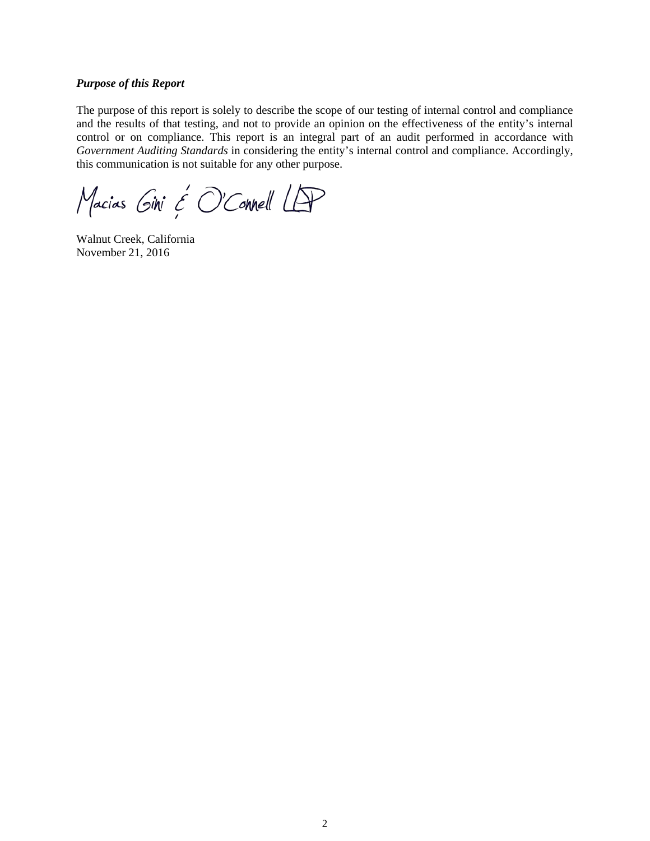#### *Purpose of this Report*

The purpose of this report is solely to describe the scope of our testing of internal control and compliance and the results of that testing, and not to provide an opinion on the effectiveness of the entity's internal control or on compliance. This report is an integral part of an audit performed in accordance with *Government Auditing Standards* in considering the entity's internal control and compliance. Accordingly, this communication is not suitable for any other purpose.

Macias Gini & O'Connell LAP

Walnut Creek, California November 21, 2016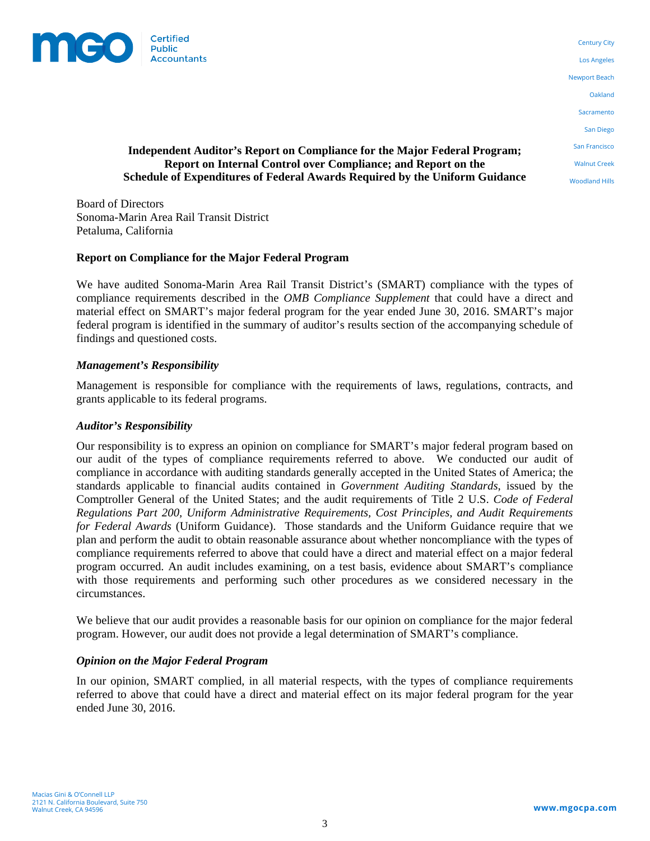

Century City Los Angeles Newport Beach Oakland **Sacramento** San Diego San Francisco Walnut Creek Woodland Hills

### **Independent Auditor's Report on Compliance for the Major Federal Program; Report on Internal Control over Compliance; and Report on the Schedule of Expenditures of Federal Awards Required by the Uniform Guidance**

Board of Directors Sonoma-Marin Area Rail Transit District Petaluma, California

### **Report on Compliance for the Major Federal Program**

We have audited Sonoma-Marin Area Rail Transit District's (SMART) compliance with the types of compliance requirements described in the *OMB Compliance Supplement* that could have a direct and material effect on SMART's major federal program for the year ended June 30, 2016. SMART's major federal program is identified in the summary of auditor's results section of the accompanying schedule of findings and questioned costs.

### *Management's Responsibility*

Management is responsible for compliance with the requirements of laws, regulations, contracts, and grants applicable to its federal programs.

#### *Auditor's Responsibility*

Our responsibility is to express an opinion on compliance for SMART's major federal program based on our audit of the types of compliance requirements referred to above. We conducted our audit of compliance in accordance with auditing standards generally accepted in the United States of America; the standards applicable to financial audits contained in *Government Auditing Standards*, issued by the Comptroller General of the United States; and the audit requirements of Title 2 U.S. *Code of Federal Regulations Part 200, Uniform Administrative Requirements, Cost Principles, and Audit Requirements for Federal Awards* (Uniform Guidance). Those standards and the Uniform Guidance require that we plan and perform the audit to obtain reasonable assurance about whether noncompliance with the types of compliance requirements referred to above that could have a direct and material effect on a major federal program occurred. An audit includes examining, on a test basis, evidence about SMART's compliance with those requirements and performing such other procedures as we considered necessary in the circumstances.

We believe that our audit provides a reasonable basis for our opinion on compliance for the major federal program. However, our audit does not provide a legal determination of SMART's compliance.

#### *Opinion on the Major Federal Program*

In our opinion, SMART complied, in all material respects, with the types of compliance requirements referred to above that could have a direct and material effect on its major federal program for the year ended June 30, 2016.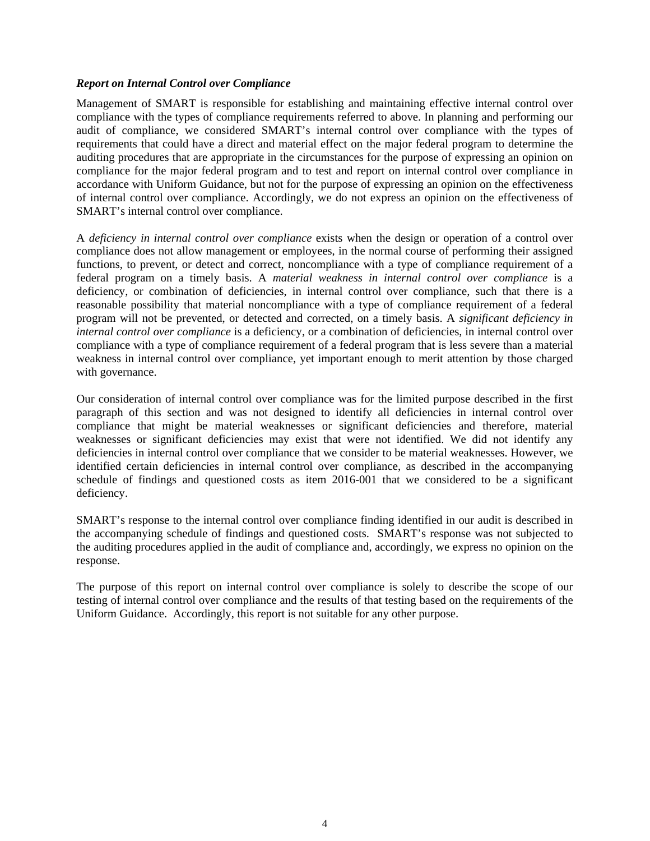### *Report on Internal Control over Compliance*

Management of SMART is responsible for establishing and maintaining effective internal control over compliance with the types of compliance requirements referred to above. In planning and performing our audit of compliance, we considered SMART's internal control over compliance with the types of requirements that could have a direct and material effect on the major federal program to determine the auditing procedures that are appropriate in the circumstances for the purpose of expressing an opinion on compliance for the major federal program and to test and report on internal control over compliance in accordance with Uniform Guidance, but not for the purpose of expressing an opinion on the effectiveness of internal control over compliance. Accordingly, we do not express an opinion on the effectiveness of SMART's internal control over compliance.

A *deficiency in internal control over compliance* exists when the design or operation of a control over compliance does not allow management or employees, in the normal course of performing their assigned functions, to prevent, or detect and correct, noncompliance with a type of compliance requirement of a federal program on a timely basis. A *material weakness in internal control over compliance* is a deficiency, or combination of deficiencies, in internal control over compliance, such that there is a reasonable possibility that material noncompliance with a type of compliance requirement of a federal program will not be prevented, or detected and corrected, on a timely basis. A *significant deficiency in internal control over compliance* is a deficiency, or a combination of deficiencies, in internal control over compliance with a type of compliance requirement of a federal program that is less severe than a material weakness in internal control over compliance, yet important enough to merit attention by those charged with governance.

Our consideration of internal control over compliance was for the limited purpose described in the first paragraph of this section and was not designed to identify all deficiencies in internal control over compliance that might be material weaknesses or significant deficiencies and therefore, material weaknesses or significant deficiencies may exist that were not identified. We did not identify any deficiencies in internal control over compliance that we consider to be material weaknesses. However, we identified certain deficiencies in internal control over compliance, as described in the accompanying schedule of findings and questioned costs as item 2016-001 that we considered to be a significant deficiency.

SMART's response to the internal control over compliance finding identified in our audit is described in the accompanying schedule of findings and questioned costs. SMART's response was not subjected to the auditing procedures applied in the audit of compliance and, accordingly, we express no opinion on the response.

The purpose of this report on internal control over compliance is solely to describe the scope of our testing of internal control over compliance and the results of that testing based on the requirements of the Uniform Guidance. Accordingly, this report is not suitable for any other purpose.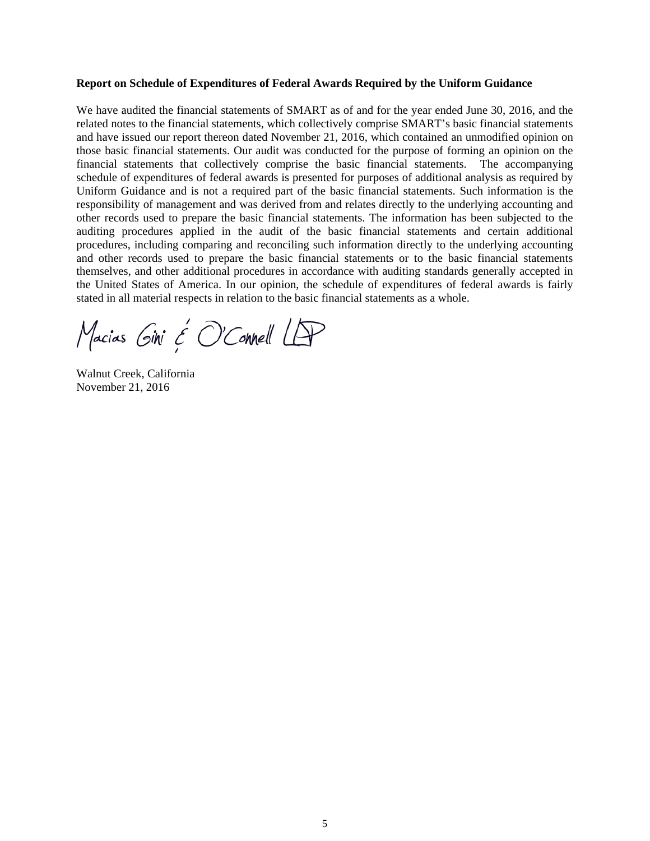#### **Report on Schedule of Expenditures of Federal Awards Required by the Uniform Guidance**

We have audited the financial statements of SMART as of and for the year ended June 30, 2016, and the related notes to the financial statements, which collectively comprise SMART's basic financial statements and have issued our report thereon dated November 21, 2016, which contained an unmodified opinion on those basic financial statements. Our audit was conducted for the purpose of forming an opinion on the financial statements that collectively comprise the basic financial statements. The accompanying schedule of expenditures of federal awards is presented for purposes of additional analysis as required by Uniform Guidance and is not a required part of the basic financial statements. Such information is the responsibility of management and was derived from and relates directly to the underlying accounting and other records used to prepare the basic financial statements. The information has been subjected to the auditing procedures applied in the audit of the basic financial statements and certain additional procedures, including comparing and reconciling such information directly to the underlying accounting and other records used to prepare the basic financial statements or to the basic financial statements themselves, and other additional procedures in accordance with auditing standards generally accepted in the United States of America. In our opinion, the schedule of expenditures of federal awards is fairly stated in all material respects in relation to the basic financial statements as a whole.

Macias Gini & O'Connell LAP

Walnut Creek, California November 21, 2016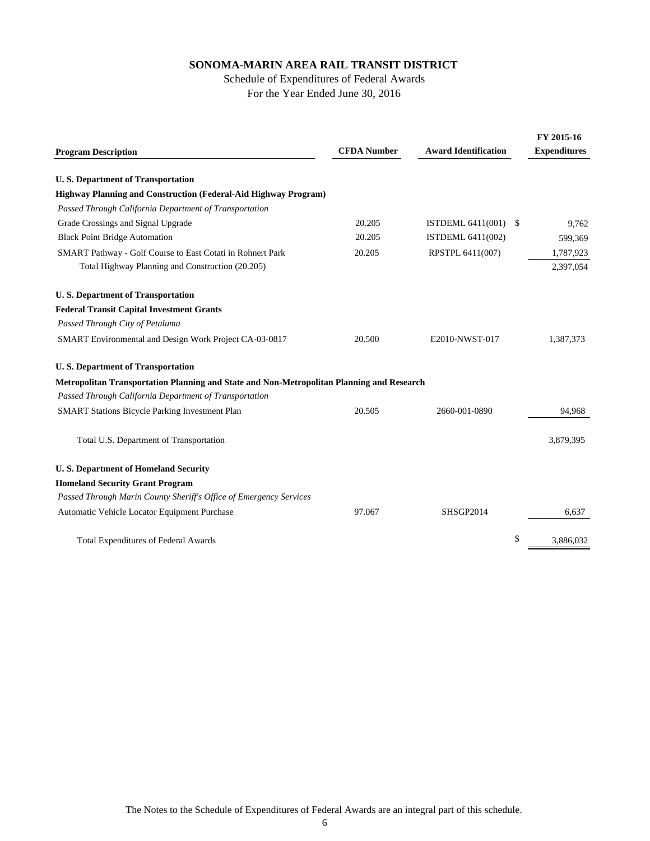### Schedule of Expenditures of Federal Awards For the Year Ended June 30, 2016

| <b>Program Description</b>                                                                | <b>CFDA Number</b> | <b>Award Identification</b>      | FY 2015-16<br><b>Expenditures</b> |
|-------------------------------------------------------------------------------------------|--------------------|----------------------------------|-----------------------------------|
|                                                                                           |                    |                                  |                                   |
| <b>U.S. Department of Transportation</b>                                                  |                    |                                  |                                   |
| <b>Highway Planning and Construction (Federal-Aid Highway Program)</b>                    |                    |                                  |                                   |
| Passed Through California Department of Transportation                                    |                    |                                  |                                   |
| Grade Crossings and Signal Upgrade                                                        | 20.205             | <b>ISTDEML 6411(001)</b><br>- \$ | 9,762                             |
| <b>Black Point Bridge Automation</b>                                                      | 20.205             | ISTDEML 6411(002)                | 599,369                           |
| SMART Pathway - Golf Course to East Cotati in Rohnert Park                                | 20.205             | RPSTPL 6411(007)                 | 1,787,923                         |
| Total Highway Planning and Construction (20.205)                                          |                    |                                  | 2,397,054                         |
| <b>U.S. Department of Transportation</b>                                                  |                    |                                  |                                   |
| <b>Federal Transit Capital Investment Grants</b>                                          |                    |                                  |                                   |
| Passed Through City of Petaluma                                                           |                    |                                  |                                   |
| SMART Environmental and Design Work Project CA-03-0817                                    | 20.500             | E2010-NWST-017                   | 1,387,373                         |
| <b>U.S. Department of Transportation</b>                                                  |                    |                                  |                                   |
| Metropolitan Transportation Planning and State and Non-Metropolitan Planning and Research |                    |                                  |                                   |
| Passed Through California Department of Transportation                                    |                    |                                  |                                   |
| SMART Stations Bicycle Parking Investment Plan                                            | 20.505             | 2660-001-0890                    | 94,968                            |
| Total U.S. Department of Transportation                                                   |                    |                                  | 3,879,395                         |
| <b>U.S. Department of Homeland Security</b>                                               |                    |                                  |                                   |
| <b>Homeland Security Grant Program</b>                                                    |                    |                                  |                                   |
| Passed Through Marin County Sheriff's Office of Emergency Services                        |                    |                                  |                                   |
| Automatic Vehicle Locator Equipment Purchase                                              | 97.067             | SHSGP2014                        | 6,637                             |
| <b>Total Expenditures of Federal Awards</b>                                               |                    | \$                               | 3.886.032                         |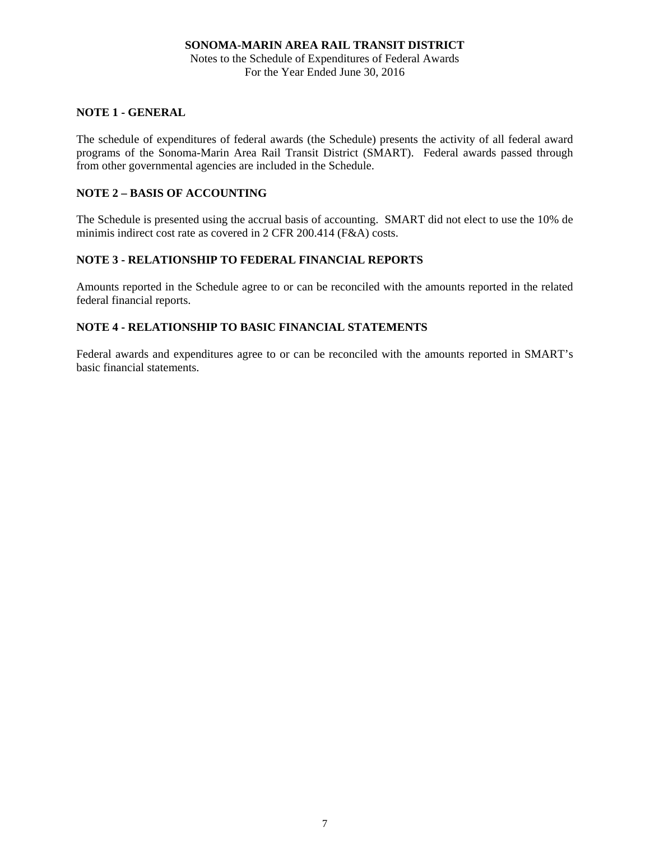Notes to the Schedule of Expenditures of Federal Awards For the Year Ended June 30, 2016

### **NOTE 1 - GENERAL**

The schedule of expenditures of federal awards (the Schedule) presents the activity of all federal award programs of the Sonoma-Marin Area Rail Transit District (SMART). Federal awards passed through from other governmental agencies are included in the Schedule.

### **NOTE 2 – BASIS OF ACCOUNTING**

The Schedule is presented using the accrual basis of accounting. SMART did not elect to use the 10% de minimis indirect cost rate as covered in 2 CFR 200.414 (F&A) costs.

### **NOTE 3 - RELATIONSHIP TO FEDERAL FINANCIAL REPORTS**

Amounts reported in the Schedule agree to or can be reconciled with the amounts reported in the related federal financial reports.

### **NOTE 4 - RELATIONSHIP TO BASIC FINANCIAL STATEMENTS**

Federal awards and expenditures agree to or can be reconciled with the amounts reported in SMART's basic financial statements.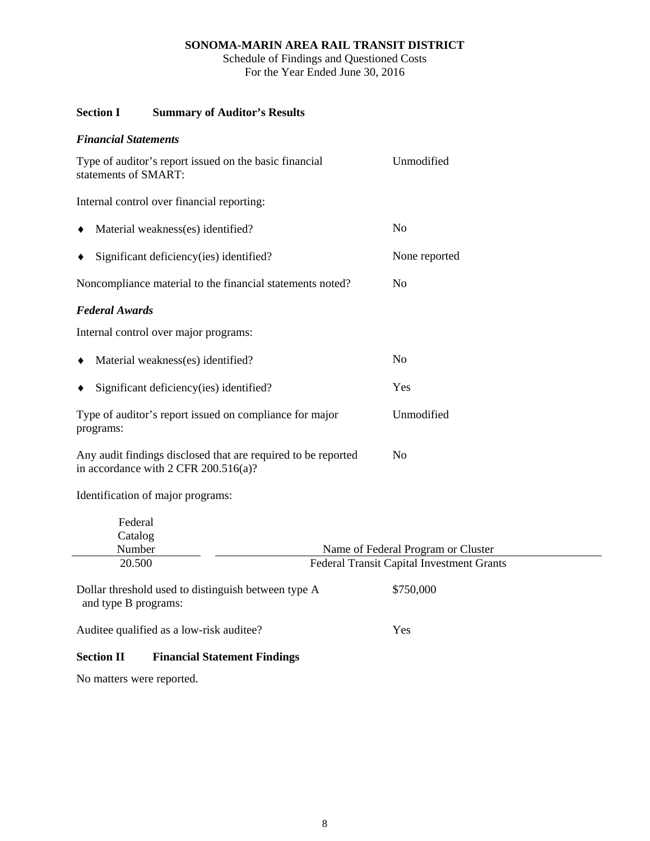Schedule of Findings and Questioned Costs For the Year Ended June 30, 2016

# **Section I Summary of Auditor's Results**

| <b>Financial Statements</b>                                                                           |                                                                                        |  |
|-------------------------------------------------------------------------------------------------------|----------------------------------------------------------------------------------------|--|
| Type of auditor's report issued on the basic financial<br>statements of SMART:                        | Unmodified                                                                             |  |
| Internal control over financial reporting:                                                            |                                                                                        |  |
| Material weakness(es) identified?                                                                     | N <sub>o</sub>                                                                         |  |
| Significant deficiency(ies) identified?                                                               | None reported                                                                          |  |
| Noncompliance material to the financial statements noted?                                             | N <sub>o</sub>                                                                         |  |
| <b>Federal Awards</b>                                                                                 |                                                                                        |  |
| Internal control over major programs:                                                                 |                                                                                        |  |
| Material weakness(es) identified?                                                                     | N <sub>o</sub>                                                                         |  |
| Significant deficiency (ies) identified?                                                              | Yes                                                                                    |  |
| Type of auditor's report issued on compliance for major<br>programs:                                  | Unmodified                                                                             |  |
| Any audit findings disclosed that are required to be reported<br>in accordance with 2 CFR 200.516(a)? | N <sub>o</sub>                                                                         |  |
| Identification of major programs:                                                                     |                                                                                        |  |
| Federal                                                                                               |                                                                                        |  |
| Catalog<br>Number                                                                                     |                                                                                        |  |
| 20.500                                                                                                | Name of Federal Program or Cluster<br><b>Federal Transit Capital Investment Grants</b> |  |
|                                                                                                       |                                                                                        |  |
| Dollar threshold used to distinguish between type A<br>and type B programs:                           | \$750,000                                                                              |  |
| Auditee qualified as a low-risk auditee?                                                              | Yes                                                                                    |  |
| <b>Section II</b><br><b>Financial Statement Findings</b>                                              |                                                                                        |  |

No matters were reported.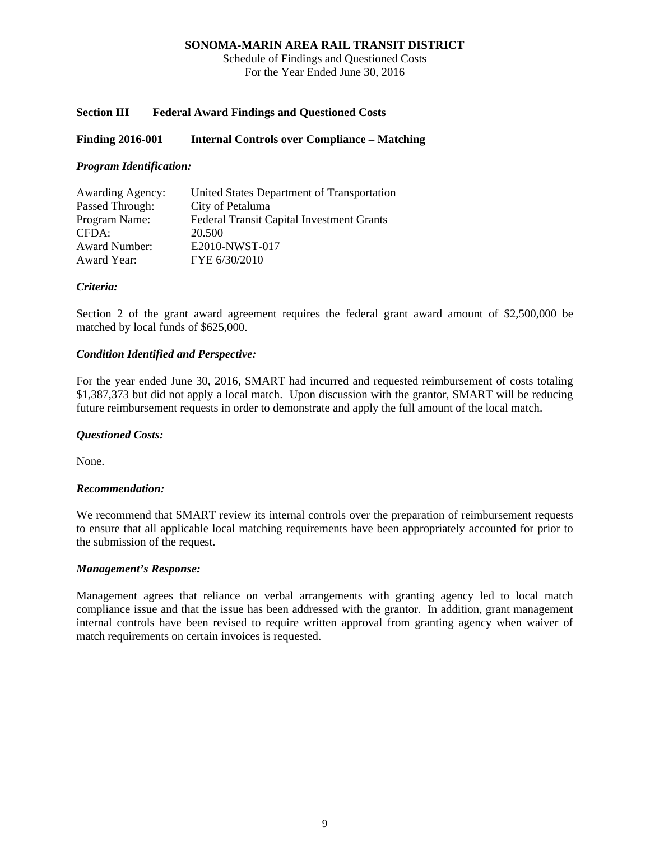Schedule of Findings and Questioned Costs For the Year Ended June 30, 2016

### **Section III Federal Award Findings and Questioned Costs**

### **Finding 2016-001 Internal Controls over Compliance – Matching**

### *Program Identification:*

| <b>Awarding Agency:</b> | United States Department of Transportation       |
|-------------------------|--------------------------------------------------|
| Passed Through:         | City of Petaluma                                 |
| Program Name:           | <b>Federal Transit Capital Investment Grants</b> |
| CFDA:                   | 20.500                                           |
| <b>Award Number:</b>    | E2010-NWST-017                                   |
| Award Year:             | FYE 6/30/2010                                    |

### *Criteria:*

Section 2 of the grant award agreement requires the federal grant award amount of \$2,500,000 be matched by local funds of \$625,000.

### *Condition Identified and Perspective:*

For the year ended June 30, 2016, SMART had incurred and requested reimbursement of costs totaling \$1,387,373 but did not apply a local match. Upon discussion with the grantor, SMART will be reducing future reimbursement requests in order to demonstrate and apply the full amount of the local match.

### *Questioned Costs:*

None.

#### *Recommendation:*

We recommend that SMART review its internal controls over the preparation of reimbursement requests to ensure that all applicable local matching requirements have been appropriately accounted for prior to the submission of the request.

#### *Management's Response:*

Management agrees that reliance on verbal arrangements with granting agency led to local match compliance issue and that the issue has been addressed with the grantor. In addition, grant management internal controls have been revised to require written approval from granting agency when waiver of match requirements on certain invoices is requested.